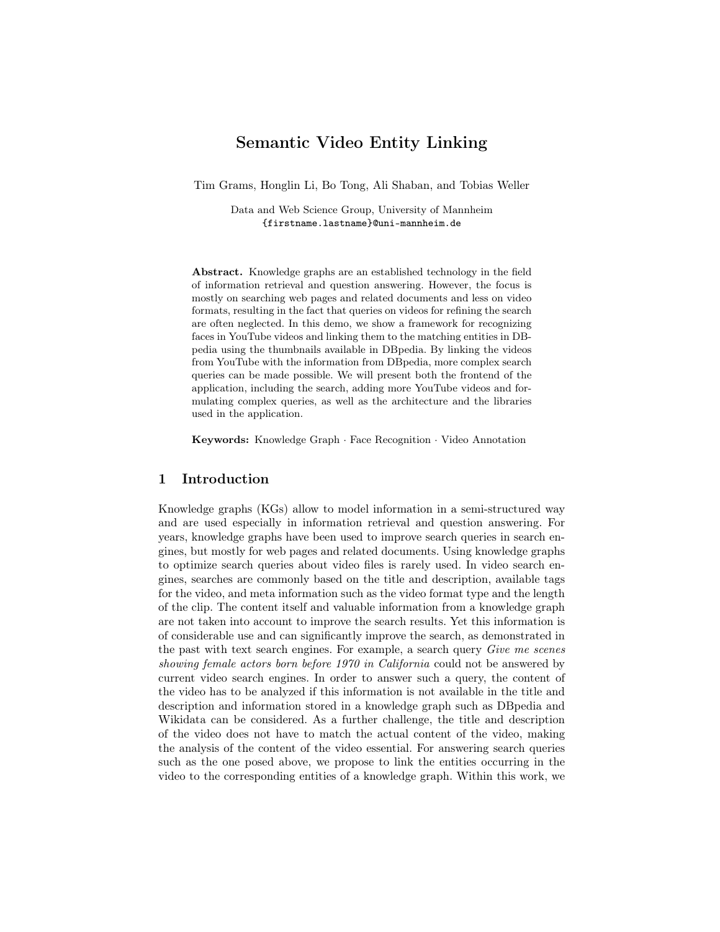# Semantic Video Entity Linking

Tim Grams, Honglin Li, Bo Tong, Ali Shaban, and Tobias Weller

Data and Web Science Group, University of Mannheim {firstname.lastname}@uni-mannheim.de

Abstract. Knowledge graphs are an established technology in the field of information retrieval and question answering. However, the focus is mostly on searching web pages and related documents and less on video formats, resulting in the fact that queries on videos for refining the search are often neglected. In this demo, we show a framework for recognizing faces in YouTube videos and linking them to the matching entities in DBpedia using the thumbnails available in DBpedia. By linking the videos from YouTube with the information from DBpedia, more complex search queries can be made possible. We will present both the frontend of the application, including the search, adding more YouTube videos and formulating complex queries, as well as the architecture and the libraries used in the application.

Keywords: Knowledge Graph · Face Recognition · Video Annotation

## 1 Introduction

Knowledge graphs (KGs) allow to model information in a semi-structured way and are used especially in information retrieval and question answering. For years, knowledge graphs have been used to improve search queries in search engines, but mostly for web pages and related documents. Using knowledge graphs to optimize search queries about video files is rarely used. In video search engines, searches are commonly based on the title and description, available tags for the video, and meta information such as the video format type and the length of the clip. The content itself and valuable information from a knowledge graph are not taken into account to improve the search results. Yet this information is of considerable use and can significantly improve the search, as demonstrated in the past with text search engines. For example, a search query Give me scenes showing female actors born before 1970 in California could not be answered by current video search engines. In order to answer such a query, the content of the video has to be analyzed if this information is not available in the title and description and information stored in a knowledge graph such as DBpedia and Wikidata can be considered. As a further challenge, the title and description of the video does not have to match the actual content of the video, making the analysis of the content of the video essential. For answering search queries such as the one posed above, we propose to link the entities occurring in the video to the corresponding entities of a knowledge graph. Within this work, we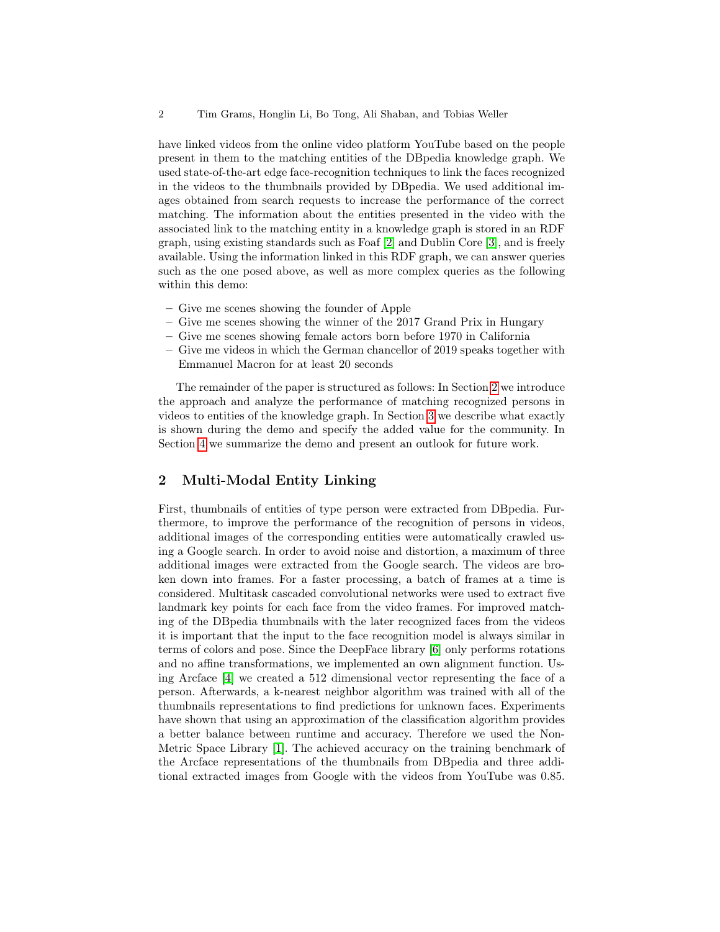have linked videos from the online video platform YouTube based on the people present in them to the matching entities of the DBpedia knowledge graph. We used state-of-the-art edge face-recognition techniques to link the faces recognized in the videos to the thumbnails provided by DBpedia. We used additional images obtained from search requests to increase the performance of the correct matching. The information about the entities presented in the video with the associated link to the matching entity in a knowledge graph is stored in an RDF graph, using existing standards such as Foaf [\[2\]](#page-3-0) and Dublin Core [\[3\]](#page-3-1), and is freely available. Using the information linked in this RDF graph, we can answer queries such as the one posed above, as well as more complex queries as the following within this demo:

- Give me scenes showing the founder of Apple
- Give me scenes showing the winner of the 2017 Grand Prix in Hungary
- Give me scenes showing female actors born before 1970 in California
- Give me videos in which the German chancellor of 2019 speaks together with Emmanuel Macron for at least 20 seconds

The remainder of the paper is structured as follows: In Section [2](#page-1-0) we introduce the approach and analyze the performance of matching recognized persons in videos to entities of the knowledge graph. In Section [3](#page-2-0) we describe what exactly is shown during the demo and specify the added value for the community. In Section [4](#page-3-2) we summarize the demo and present an outlook for future work.

# <span id="page-1-0"></span>2 Multi-Modal Entity Linking

First, thumbnails of entities of type person were extracted from DBpedia. Furthermore, to improve the performance of the recognition of persons in videos, additional images of the corresponding entities were automatically crawled using a Google search. In order to avoid noise and distortion, a maximum of three additional images were extracted from the Google search. The videos are broken down into frames. For a faster processing, a batch of frames at a time is considered. Multitask cascaded convolutional networks were used to extract five landmark key points for each face from the video frames. For improved matching of the DBpedia thumbnails with the later recognized faces from the videos it is important that the input to the face recognition model is always similar in terms of colors and pose. Since the DeepFace library [\[6\]](#page-3-3) only performs rotations and no affine transformations, we implemented an own alignment function. Using Arcface [\[4\]](#page-3-4) we created a 512 dimensional vector representing the face of a person. Afterwards, a k-nearest neighbor algorithm was trained with all of the thumbnails representations to find predictions for unknown faces. Experiments have shown that using an approximation of the classification algorithm provides a better balance between runtime and accuracy. Therefore we used the Non-Metric Space Library [\[1\]](#page-3-5). The achieved accuracy on the training benchmark of the Arcface representations of the thumbnails from DBpedia and three additional extracted images from Google with the videos from YouTube was 0.85.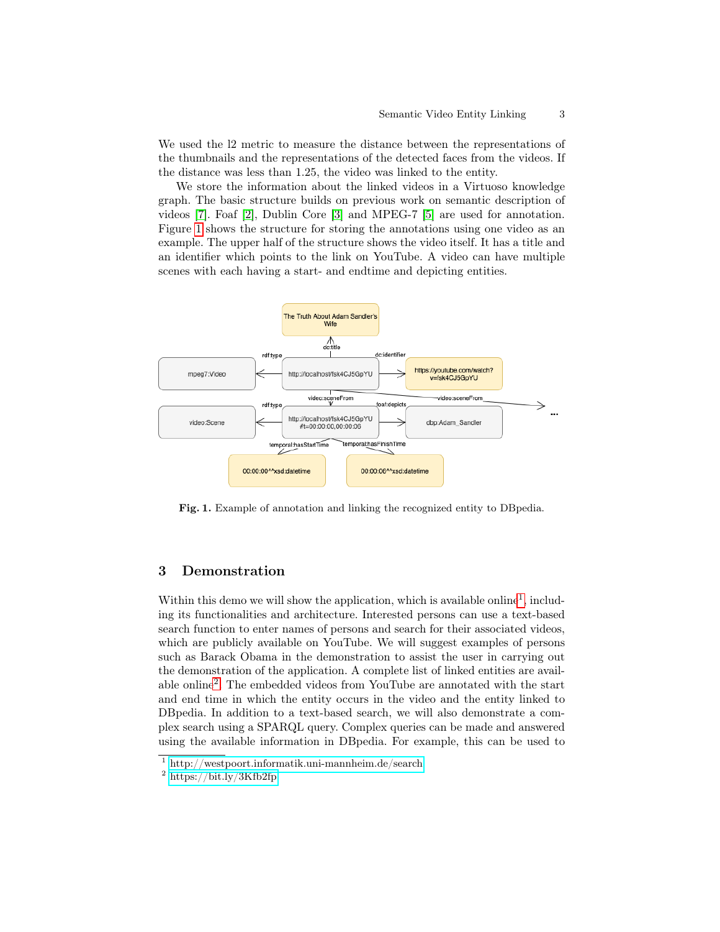We used the l2 metric to measure the distance between the representations of the thumbnails and the representations of the detected faces from the videos. If the distance was less than 1.25, the video was linked to the entity.

We store the information about the linked videos in a Virtuoso knowledge graph. The basic structure builds on previous work on semantic description of videos [\[7\]](#page-3-6). Foaf [\[2\]](#page-3-0), Dublin Core [\[3\]](#page-3-1) and MPEG-7 [\[5\]](#page-3-7) are used for annotation. Figure [1](#page-2-1) shows the structure for storing the annotations using one video as an example. The upper half of the structure shows the video itself. It has a title and an identifier which points to the link on YouTube. A video can have multiple scenes with each having a start- and endtime and depicting entities.



<span id="page-2-1"></span>Fig. 1. Example of annotation and linking the recognized entity to DBpedia.

## <span id="page-2-0"></span>3 Demonstration

Within this demo we will show the application, which is available online<sup>[1](#page-2-2)</sup>, including its functionalities and architecture. Interested persons can use a text-based search function to enter names of persons and search for their associated videos, which are publicly available on YouTube. We will suggest examples of persons such as Barack Obama in the demonstration to assist the user in carrying out the demonstration of the application. A complete list of linked entities are available online[2](#page-2-3) . The embedded videos from YouTube are annotated with the start and end time in which the entity occurs in the video and the entity linked to DBpedia. In addition to a text-based search, we will also demonstrate a complex search using a SPARQL query. Complex queries can be made and answered using the available information in DBpedia. For example, this can be used to

<span id="page-2-2"></span><sup>&</sup>lt;sup>1</sup> <http://westpoort.informatik.uni-mannheim.de/search>

<span id="page-2-3"></span> $^2$ <https://bit.ly/3Kfb2fp>